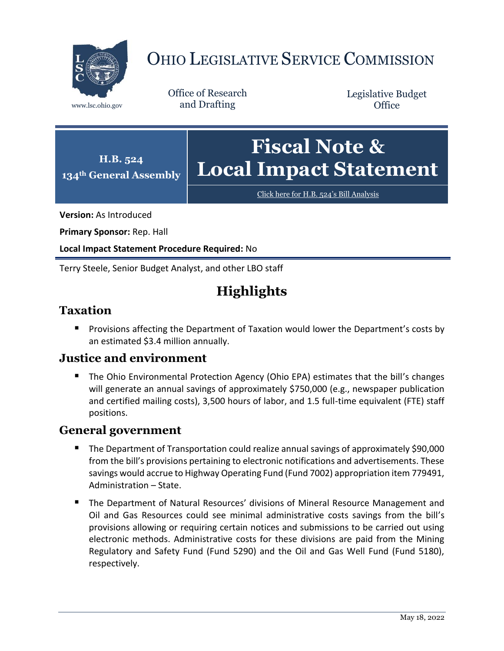

# OHIO LEGISLATIVE SERVICE COMMISSION

Office of Research www.lsc.ohio.gov and Drafting

Legislative Budget **Office** 



[Click here for H.B. 524](https://www.legislature.ohio.gov/legislation/legislation-documents?id=GA134-HB-524)'s Bill Analysis

**Version:** As Introduced

**Primary Sponsor:** Rep. Hall

**Local Impact Statement Procedure Required:** No

Terry Steele, Senior Budget Analyst, and other LBO staff

# **Highlights**

### **Taxation**

**Provisions affecting the Department of Taxation would lower the Department's costs by** an estimated \$3.4 million annually.

#### **Justice and environment**

 The Ohio Environmental Protection Agency (Ohio EPA) estimates that the bill's changes will generate an annual savings of approximately \$750,000 (e.g., newspaper publication and certified mailing costs), 3,500 hours of labor, and 1.5 full-time equivalent (FTE) staff positions.

#### **General government**

- The Department of Transportation could realize annual savings of approximately \$90,000 from the bill's provisions pertaining to electronic notifications and advertisements. These savings would accrue to Highway Operating Fund (Fund 7002) appropriation item 779491, Administration – State.
- The Department of Natural Resources' divisions of Mineral Resource Management and Oil and Gas Resources could see minimal administrative costs savings from the bill's provisions allowing or requiring certain notices and submissions to be carried out using electronic methods. Administrative costs for these divisions are paid from the Mining Regulatory and Safety Fund (Fund 5290) and the Oil and Gas Well Fund (Fund 5180), respectively.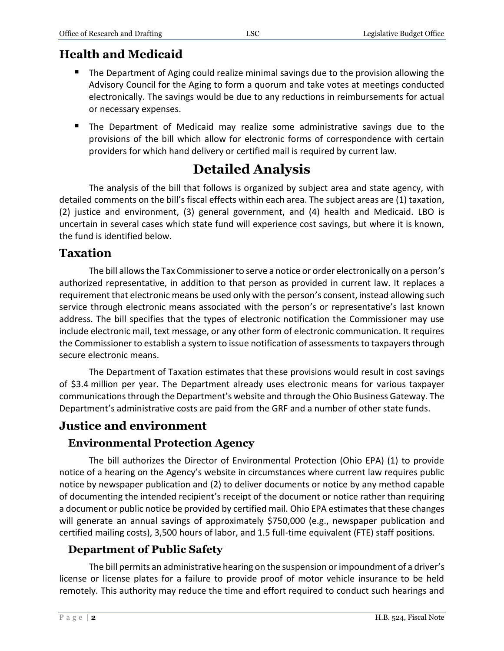# **Health and Medicaid**

- **The Department of Aging could realize minimal savings due to the provision allowing the** Advisory Council for the Aging to form a quorum and take votes at meetings conducted electronically. The savings would be due to any reductions in reimbursements for actual or necessary expenses.
- The Department of Medicaid may realize some administrative savings due to the provisions of the bill which allow for electronic forms of correspondence with certain providers for which hand delivery or certified mail is required by current law.

# **Detailed Analysis**

The analysis of the bill that follows is organized by subject area and state agency, with detailed comments on the bill's fiscal effects within each area. The subject areas are (1) taxation, (2) justice and environment, (3) general government, and (4) health and Medicaid. LBO is uncertain in several cases which state fund will experience cost savings, but where it is known, the fund is identified below.

### **Taxation**

The bill allows the Tax Commissioner to serve a notice or order electronically on a person's authorized representative, in addition to that person as provided in current law. It replaces a requirement that electronic means be used only with the person's consent, instead allowing such service through electronic means associated with the person's or representative's last known address. The bill specifies that the types of electronic notification the Commissioner may use include electronic mail, text message, or any other form of electronic communication. It requires the Commissioner to establish a system to issue notification of assessments to taxpayers through secure electronic means.

The Department of Taxation estimates that these provisions would result in cost savings of \$3.4 million per year. The Department already uses electronic means for various taxpayer communicationsthrough the Department's website and through the Ohio Business Gateway. The Department's administrative costs are paid from the GRF and a number of other state funds.

# **Justice and environment**

# **Environmental Protection Agency**

The bill authorizes the Director of Environmental Protection (Ohio EPA) (1) to provide notice of a hearing on the Agency's website in circumstances where current law requires public notice by newspaper publication and (2) to deliver documents or notice by any method capable of documenting the intended recipient's receipt of the document or notice rather than requiring a document or public notice be provided by certified mail. Ohio EPA estimates that these changes will generate an annual savings of approximately \$750,000 (e.g., newspaper publication and certified mailing costs), 3,500 hours of labor, and 1.5 full-time equivalent (FTE) staff positions.

# **Department of Public Safety**

The bill permits an administrative hearing on the suspension or impoundment of a driver's license or license plates for a failure to provide proof of motor vehicle insurance to be held remotely. This authority may reduce the time and effort required to conduct such hearings and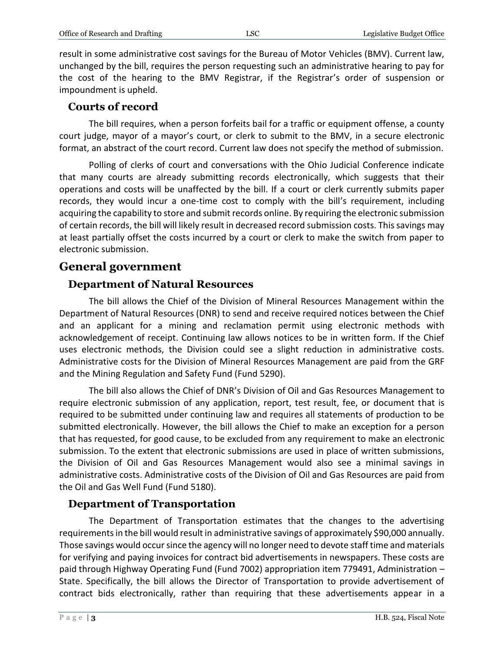result in some administrative cost savings for the Bureau of Motor Vehicles (BMV). Current law, unchanged by the bill, requires the person requesting such an administrative hearing to pay for the cost of the hearing to the BMV Registrar, if the Registrar's order of suspension or impoundment is upheld.

#### **Courts of record**

The bill requires, when a person forfeits bail for a traffic or equipment offense, a county court judge, mayor of a mayor's court, or clerk to submit to the BMV, in a secure electronic format, an abstract of the court record. Current law does not specify the method of submission.

Polling of clerks of court and conversations with the Ohio Judicial Conference indicate that many courts are already submitting records electronically, which suggests that their operations and costs will be unaffected by the bill. If a court or clerk currently submits paper records, they would incur a one-time cost to comply with the bill's requirement, including acquiring the capability to store and submit records online. By requiring the electronic submission of certain records, the bill will likely result in decreased record submission costs. This savings may at least partially offset the costs incurred by a court or clerk to make the switch from paper to electronic submission.

# **General government**

### **Department of Natural Resources**

The bill allows the Chief of the Division of Mineral Resources Management within the Department of Natural Resources (DNR) to send and receive required notices between the Chief and an applicant for a mining and reclamation permit using electronic methods with acknowledgement of receipt. Continuing law allows notices to be in written form. If the Chief uses electronic methods, the Division could see a slight reduction in administrative costs. Administrative costs for the Division of Mineral Resources Management are paid from the GRF and the Mining Regulation and Safety Fund (Fund 5290).

The bill also allows the Chief of DNR's Division of Oil and Gas Resources Management to require electronic submission of any application, report, test result, fee, or document that is required to be submitted under continuing law and requires all statements of production to be submitted electronically. However, the bill allows the Chief to make an exception for a person that has requested, for good cause, to be excluded from any requirement to make an electronic submission. To the extent that electronic submissions are used in place of written submissions, the Division of Oil and Gas Resources Management would also see a minimal savings in administrative costs. Administrative costs of the Division of Oil and Gas Resources are paid from the Oil and Gas Well Fund (Fund 5180).

#### **Department of Transportation**

The Department of Transportation estimates that the changes to the advertising requirements in the bill would result in administrative savings of approximately \$90,000 annually. Those savings would occur since the agency will no longer need to devote staff time and materials for verifying and paying invoices for contract bid advertisements in newspapers. These costs are paid through Highway Operating Fund (Fund 7002) appropriation item 779491, Administration – State. Specifically, the bill allows the Director of Transportation to provide advertisement of contract bids electronically, rather than requiring that these advertisements appear in a